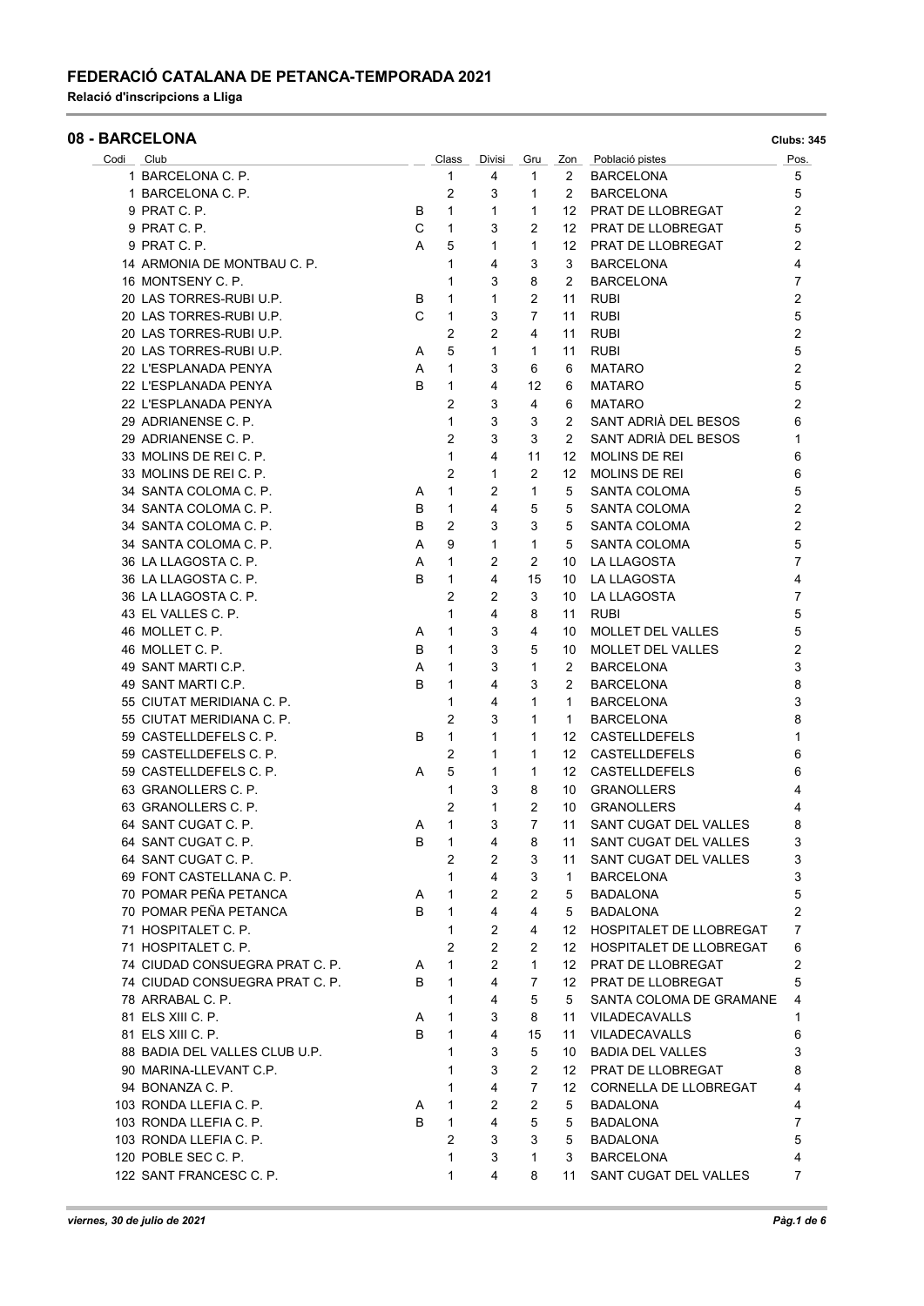#### FEDERACIÓ CATALANA DE PETANCA-TEMPORADA 2021

Relació d'inscripcions a Lliga

|           | <b>08 - BARCELONA</b>          |   |                |                |                |                  |                                | <b>Clubs: 345</b>       |
|-----------|--------------------------------|---|----------------|----------------|----------------|------------------|--------------------------------|-------------------------|
| Codi Club |                                |   | Class          | Divisi         | Gru            | Zon              | Població pistes                | Pos.                    |
|           | 1 BARCELONA C. P.              |   | 1              | 4              | 1              | 2                | <b>BARCELONA</b>               | 5                       |
|           | 1 BARCELONA C. P.              |   | 2              | 3              | 1              | 2                | <b>BARCELONA</b>               | 5                       |
|           | 9 PRAT C. P.                   | в | $\mathbf{1}$   | 1              | 1              | 12               | PRAT DE LLOBREGAT              | $\overline{2}$          |
|           | 9 PRAT C. P.                   | C | $\mathbf{1}$   | 3              | 2              | 12               | PRAT DE LLOBREGAT              | 5                       |
|           | 9 PRAT C. P.                   | A | 5              | 1              | 1              | 12               | PRAT DE LLOBREGAT              | 2                       |
|           | 14 ARMONIA DE MONTBAU C. P.    |   | $\mathbf{1}$   | 4              | 3              | 3                | <b>BARCELONA</b>               | 4                       |
|           | 16 MONTSENY C. P.              |   | 1              | 3              | 8              | 2                | <b>BARCELONA</b>               | 7                       |
|           | 20 LAS TORRES-RUBI U.P.        | В | 1              | 1              | 2              | 11               | <b>RUBI</b>                    | $\overline{2}$          |
|           | 20 LAS TORRES-RUBI U.P.        | C | $\mathbf 1$    | 3              | 7              | 11               | <b>RUBI</b>                    | 5                       |
|           | 20 LAS TORRES-RUBI U.P.        |   | $\overline{2}$ | 2              | 4              | 11               | <b>RUBI</b>                    | 2                       |
|           | 20 LAS TORRES-RUBI U.P.        | A | 5              | $\mathbf{1}$   | 1              | 11               | <b>RUBI</b>                    | 5                       |
|           | 22 L'ESPLANADA PENYA           | Α | $\mathbf{1}$   | 3              | 6              | 6                | <b>MATARO</b>                  | $\overline{\mathbf{c}}$ |
|           | 22 L'ESPLANADA PENYA           | B | 1              | 4              | 12             | 6                | <b>MATARO</b>                  | 5                       |
|           | 22 L'ESPLANADA PENYA           |   | $\overline{2}$ | 3              | 4              | 6                | <b>MATARO</b>                  | $\overline{2}$          |
|           | 29 ADRIANENSE C. P.            |   | $\mathbf{1}$   | 3              | 3              | 2                | SANT ADRIÀ DEL BESOS           | 6                       |
|           | 29 ADRIANENSE C. P.            |   | $\overline{2}$ | 3              | 3              | 2                | SANT ADRIÀ DEL BESOS           | 1                       |
|           | 33 MOLINS DE REI C. P.         |   | $\mathbf{1}$   | 4              | 11             | 12               | MOLINS DE REI                  | 6                       |
|           | 33 MOLINS DE REI C. P.         |   | $\overline{2}$ | 1              | 2              | 12               | MOLINS DE REI                  | 6                       |
|           | 34 SANTA COLOMA C. P.          | A | 1              | 2              | 1              | 5                | SANTA COLOMA                   | 5                       |
|           | 34 SANTA COLOMA C. P.          | в | $\mathbf{1}$   | 4              | 5              | 5                | SANTA COLOMA                   | 2                       |
|           | 34 SANTA COLOMA C. P.          | в | $\overline{2}$ | 3              | 3              | 5                | SANTA COLOMA                   | $\overline{2}$          |
|           | 34 SANTA COLOMA C. P.          |   | 9              |                |                |                  | <b>SANTA COLOMA</b>            | 5                       |
|           | 36 LA LLAGOSTA C. P.           | Α |                | 1              | $\mathbf{1}$   | 5                |                                |                         |
|           |                                | Α | $\mathbf{1}$   | $\overline{2}$ | 2              | 10               | <b>LA LLAGOSTA</b>             | 7                       |
|           | 36 LA LLAGOSTA C. P.           | B | $\mathbf{1}$   | 4              | 15             | 10               | LA LLAGOSTA                    | 4                       |
|           | 36 LA LLAGOSTA C. P.           |   | $\overline{2}$ | 2              | 3              | 10               | LA LLAGOSTA                    | 7                       |
|           | 43 EL VALLES C. P.             |   | 1              | 4              | 8              | 11               | <b>RUBI</b>                    | 5                       |
|           | 46 MOLLET C. P.                | A | 1              | 3              | 4              | 10               | MOLLET DEL VALLES              | 5                       |
|           | 46 MOLLET C. P.                | в | 1              | 3              | 5              | 10               | <b>MOLLET DEL VALLES</b>       | 2                       |
|           | 49 SANT MARTI C.P.             | Α | $\mathbf{1}$   | 3              | 1              | 2                | <b>BARCELONA</b>               | 3                       |
|           | 49 SANT MARTI C.P.             | в | 1              | 4              | 3              | 2                | <b>BARCELONA</b>               | 8                       |
|           | 55 CIUTAT MERIDIANA C. P.      |   | $\mathbf{1}$   | 4              | 1              | $\mathbf{1}$     | <b>BARCELONA</b>               | 3                       |
|           | 55 CIUTAT MERIDIANA C. P.      |   | 2              | 3              | 1              | 1                | <b>BARCELONA</b>               | 8                       |
|           | 59 CASTELLDEFELS C. P.         | B | $\mathbf{1}$   | 1              | 1              | 12               | CASTELLDEFELS                  | 1                       |
|           | 59 CASTELLDEFELS C. P.         |   | 2              | 1              | 1              | 12               | <b>CASTELLDEFELS</b>           | 6                       |
|           | 59 CASTELLDEFELS C. P.         | A | 5              | 1              | 1              | 12               | <b>CASTELLDEFELS</b>           | 6                       |
|           | 63 GRANOLLERS C. P.            |   | 1              | 3              | 8              | 10               | <b>GRANOLLERS</b>              | 4                       |
|           | 63 GRANOLLERS C. P.            |   | $\overline{2}$ | 1              | 2              | 10               | <b>GRANOLLERS</b>              | 4                       |
|           | 64 SANT CUGAT C. P.            | Α | 1              | 3              | 7              | 11               | SANT CUGAT DEL VALLES          | 8                       |
|           | 64 SANT CUGAT C. P.            | в | 1              | 4              | 8              | 11               | SANT CUGAT DEL VALLES          | 3                       |
|           | 64 SANT CUGAT C. P.            |   | 2              | $\overline{2}$ | 3              | 11               | SANT CUGAT DEL VALLES          | 3                       |
|           | 69 FONT CASTELLANA C. P.       |   | 1              | 4              | 3              | $\mathbf{1}$     | <b>BARCELONA</b>               | 3                       |
|           | 70 POMAR PEÑA PETANCA          | A | $\mathbf{1}$   | $\overline{2}$ | 2              | 5                | <b>BADALONA</b>                | 5                       |
|           | 70 POMAR PEÑA PETANCA          | B | $\mathbf{1}$   | 4              | 4              | 5                | <b>BADALONA</b>                | 2                       |
|           | 71 HOSPITALET C. P.            |   | $\mathbf{1}$   |                |                |                  | <b>HOSPITALET DE LLOBREGAT</b> | 7                       |
|           |                                |   |                | 2              | 4              | 12               |                                |                         |
|           | 71 HOSPITALET C. P.            |   | $\overline{2}$ | 2              | 2              | 12               | <b>HOSPITALET DE LLOBREGAT</b> | 6                       |
|           | 74 CIUDAD CONSUEGRA PRAT C. P. | A | $\mathbf{1}$   | $\overline{c}$ | $\mathbf{1}$   | 12 <sup>12</sup> | PRAT DE LLOBREGAT              | 2                       |
|           | 74 CIUDAD CONSUEGRA PRAT C. P. | B | $\mathbf{1}$   | 4              | $\overline{7}$ |                  | 12 PRAT DE LLOBREGAT           | 5                       |
|           | 78 ARRABAL C. P.               |   | $\mathbf{1}$   | 4              | 5              | 5                | SANTA COLOMA DE GRAMANE        | 4                       |
|           | 81 ELS XIII C. P.              | A | 1              | 3              | 8              | 11               | <b>VILADECAVALLS</b>           | 1                       |
|           | 81 ELS XIII C. P.              | B | 1              | 4              | 15             | 11               | <b>VILADECAVALLS</b>           | 6                       |
|           | 88 BADIA DEL VALLES CLUB U.P.  |   | 1              | 3              | 5              | 10               | <b>BADIA DEL VALLES</b>        | 3                       |
|           | 90 MARINA-LLEVANT C.P.         |   | 1              | 3              | 2              | 12 <sup>12</sup> | PRAT DE LLOBREGAT              | 8                       |
|           | 94 BONANZA C. P.               |   | 1              | 4              | 7              | 12               | CORNELLA DE LLOBREGAT          | 4                       |
|           | 103 RONDA LLEFIA C. P.         | A | $\mathbf{1}$   | 2              | 2              | 5                | <b>BADALONA</b>                | 4                       |
|           | 103 RONDA LLEFIA C. P.         | в | $\mathbf{1}$   | 4              | 5              | 5                | <b>BADALONA</b>                | 7                       |
|           | 103 RONDA LLEFIA C. P.         |   | $\overline{2}$ | 3              | 3              | 5                | <b>BADALONA</b>                | 5                       |
|           | 120 POBLE SEC C. P.            |   | $\mathbf{1}$   | 3              | 1              | 3                | <b>BARCELONA</b>               | 4                       |

122 SANT FRANCESC C. P. (22 SANT FRANCESC C. P. (22 SANT CUGAT DEL VALLES 2015)

Î.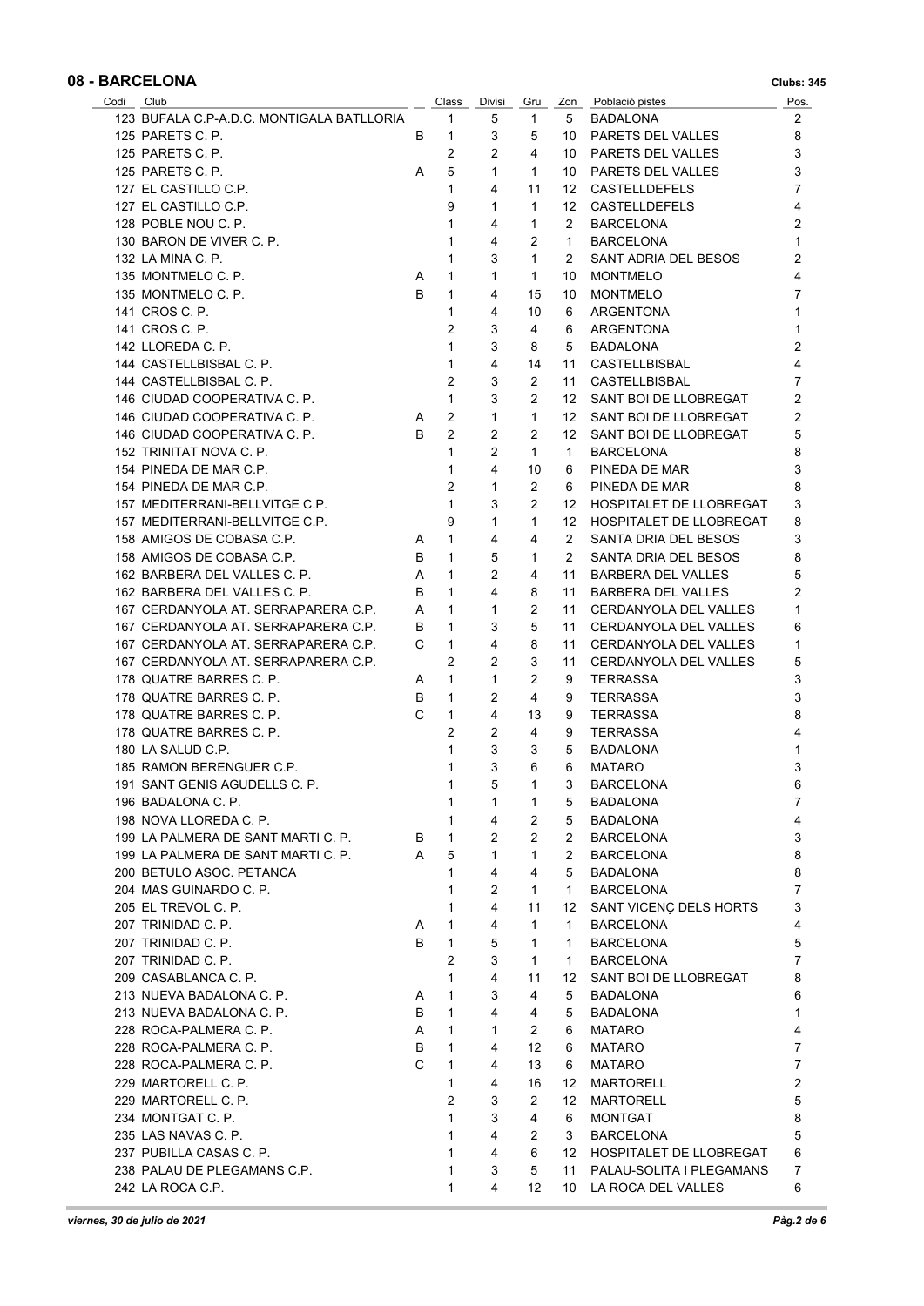| Codi Club                                 |        | Class          | Divisi         | Gru               |                | Zon Població pistes        | Pos.           |
|-------------------------------------------|--------|----------------|----------------|-------------------|----------------|----------------------------|----------------|
| 123 BUFALA C.P-A.D.C. MONTIGALA BATLLORIA |        | 1              | 5              | $\mathbf{1}$      | 5              | BADALONA                   | 2              |
| 125 PARETS C. P.                          | В      | $\mathbf{1}$   | 3              | 5                 |                | 10 PARETS DEL VALLES       | 8              |
| 125 PARETS C. P.                          |        | $\overline{2}$ | 2              | 4                 |                | 10 PARETS DEL VALLES       | 3              |
| 125 PARETS C. P.                          | A      | 5              | $\mathbf{1}$   | $\mathbf{1}$      |                | 10 PARETS DEL VALLES       | 3              |
| 127 EL CASTILLO C.P.                      |        | $\mathbf{1}$   | 4              | 11                |                | 12 CASTELLDEFELS           | $\overline{7}$ |
| 127 EL CASTILLO C.P.                      |        | 9              | 1              | $\mathbf{1}$      |                | 12 CASTELLDEFELS           | 4              |
| 128 POBLE NOU C. P.                       |        | 1              | 4              | 1                 | 2              | <b>BARCELONA</b>           | $\overline{2}$ |
| 130 BARON DE VIVER C. P.                  |        | 1              | 4              | $\overline{2}$    | $\mathbf{1}$   | <b>BARCELONA</b>           | 1              |
| 132 LA MINA C. P.                         |        | 1              | 3              | $\mathbf{1}$      | 2              | SANT ADRIA DEL BESOS       | 2              |
| 135 MONTMELO C. P.                        | A      | 1              | $\mathbf{1}$   | $\mathbf{1}$      | 10             | <b>MONTMELO</b>            | 4              |
| 135 MONTMELO C. P.                        | B      | 1              | 4              | 15                |                | <b>MONTMELO</b>            | $\overline{7}$ |
|                                           |        |                |                |                   | 10             |                            |                |
| 141 CROS C. P.                            |        | 1              | 4              | 10                | 6              | ARGENTONA                  | $\mathbf{1}$   |
| 141 CROS C. P.                            |        | $\overline{2}$ | 3              | 4                 | 6              | ARGENTONA                  | $\mathbf{1}$   |
| 142 LLOREDA C. P.                         |        | 1              | 3              | 8                 | 5              | <b>BADALONA</b>            | $\overline{2}$ |
| 144 CASTELLBISBAL C. P.                   |        | $\mathbf{1}$   | 4              | 14                | 11             | CASTELLBISBAL              | 4              |
| 144 CASTELLBISBAL C. P.                   |        | 2              | 3              | 2                 | 11             | CASTELLBISBAL              | 7              |
| 146 CIUDAD COOPERATIVA C. P.              |        | $\mathbf{1}$   | 3              | 2                 |                | 12 SANT BOI DE LLOBREGAT   | 2              |
| 146 CIUDAD COOPERATIVA C. P.              | A      | 2              | $\mathbf{1}$   | $\mathbf{1}$      |                | 12 SANT BOI DE LLOBREGAT   | 2              |
| 146 CIUDAD COOPERATIVA C. P.              | B      | $\overline{2}$ | $\overline{2}$ | 2                 |                | 12 SANT BOI DE LLOBREGAT   | 5              |
| 152 TRINITAT NOVA C. P.                   |        | $\mathbf{1}$   | $\overline{2}$ | $\mathbf{1}$      | $\mathbf{1}$   | <b>BARCELONA</b>           | 8              |
| 154 PINEDA DE MAR C.P.                    |        | $\mathbf{1}$   | 4              | 10                | 6              | PINEDA DE MAR              | 3              |
| 154 PINEDA DE MAR C.P.                    |        | 2              | $\mathbf{1}$   | $\overline{2}$    | 6              | PINEDA DE MAR              | 8              |
| 157 MEDITERRANI-BELLVITGE C.P.            |        | $\mathbf{1}$   | 3              | 2                 |                | 12 HOSPITALET DE LLOBREGAT | 3              |
| 157 MEDITERRANI-BELLVITGE C.P.            |        | 9              | 1              | $\mathbf{1}$      |                | 12 HOSPITALET DE LLOBREGAT | 8              |
| 158 AMIGOS DE COBASA C.P.                 | A      | 1              | 4              | 4                 | 2              | SANTA DRIA DEL BESOS       | 3              |
| 158 AMIGOS DE COBASA C.P.                 | В      | $\mathbf{1}$   | 5              | 1                 | 2              | SANTA DRIA DEL BESOS       | 8              |
| 162 BARBERA DEL VALLES C. P.              | Α      | $\mathbf{1}$   | 2              | 4                 | 11             | BARBERA DEL VALLES         | 5              |
| 162 BARBERA DEL VALLES C. P.              | В      | $\mathbf{1}$   | 4              | 8                 | 11             | BARBERA DEL VALLES         | $\overline{2}$ |
| 167 CERDANYOLA AT. SERRAPARERA C.P.       | Α      | $\mathbf{1}$   | $\mathbf{1}$   | $\overline{2}$    | 11             | CERDANYOLA DEL VALLES      | 1              |
| 167 CERDANYOLA AT. SERRAPARERA C.P.       | B      | $\mathbf{1}$   | 3              | 5                 | 11             | CERDANYOLA DEL VALLES      | 6              |
| 167 CERDANYOLA AT. SERRAPARERA C.P.       | C      | $\mathbf{1}$   | 4              | 8                 | 11             | CERDANYOLA DEL VALLES      | 1              |
| 167 CERDANYOLA AT. SERRAPARERA C.P.       |        | 2              | 2              | 3                 | 11             | CERDANYOLA DEL VALLES      | 5              |
| 178 QUATRE BARRES C. P.                   |        | 1              | $\mathbf{1}$   | 2                 | 9              | <b>TERRASSA</b>            | 3              |
| 178 QUATRE BARRES C. P.                   | A<br>В | $\mathbf{1}$   | 2              | 4                 | 9              | <b>TERRASSA</b>            | 3              |
| 178 QUATRE BARRES C. P.                   | C      | $\mathbf{1}$   | 4              |                   |                |                            | 8              |
|                                           |        |                |                | 13                | 9              | <b>TERRASSA</b>            | 4              |
| 178 QUATRE BARRES C. P.                   |        | $\overline{c}$ | $\overline{2}$ | 4                 | 9              | <b>TERRASSA</b>            |                |
| 180 LA SALUD C.P.                         |        | $\mathbf{1}$   | $\mathbf{3}$   | 3                 | 5              | <b>BADALONA</b>            | 1              |
| 185 RAMON BERENGUER C.P.                  |        | 1              | 3              | 6                 | 6              | <b>MATARO</b>              | 3              |
| 191 SANT GENIS AGUDELLS C. P.             |        | 1              | 5 <sub>5</sub> | $\overline{1}$    | 3 <sup>7</sup> | <b>BARCELONA</b>           | 6              |
| 196 BADALONA C. P.                        |        | 1              | 1              | 1                 | 5              | BADALONA                   | 7              |
| 198 NOVA LLOREDA C. P.                    |        | 1              | 4              | 2                 | 5              | <b>BADALONA</b>            | 4              |
| 199 LA PALMERA DE SANT MARTI C. P.        | B      | 1              | 2              | 2                 | 2              | BARCELONA                  | 3              |
| 199 LA PALMERA DE SANT MARTI C. P.        | A      | 5              | $\mathbf{1}$   | 1                 | 2              | <b>BARCELONA</b>           | 8              |
| 200 BETULO ASOC. PETANCA                  |        | $\mathbf{1}$   | 4              | 4                 | 5              | <b>BADALONA</b>            | 8              |
| 204 MAS GUINARDO C. P.                    |        | 1              | $\overline{2}$ | $\mathbf{1}$      | $\mathbf{1}$   | <b>BARCELONA</b>           | 7              |
| 205 EL TREVOL C. P.                       |        | 1              | 4              | 11                | 12             | SANT VICENÇ DELS HORTS     | 3              |
| 207 TRINIDAD C. P.                        | A      | 1              | 4              | $\mathbf{1}$      | $\mathbf{1}$   | <b>BARCELONA</b>           | 4              |
| 207 TRINIDAD C. P.                        | B      | $\mathbf{1}$   | 5              | $\mathbf{1}$      | $\mathbf{1}$   | <b>BARCELONA</b>           | 5              |
| 207 TRINIDAD C. P.                        |        | $\overline{2}$ | 3              | $\mathbf{1}$      | $\mathbf{1}$   | <b>BARCELONA</b>           | 7              |
| 209 CASABLANCA C. P.                      |        | 1              | 4              | 11                | 12             | SANT BOI DE LLOBREGAT      | 8              |
| 213 NUEVA BADALONA C. P.                  | A      | 1              | 3              | 4                 | 5              | BADALONA                   | 6              |
| 213 NUEVA BADALONA C. P.                  | B      | $\mathbf{1}$   | 4              | 4                 | 5              | <b>BADALONA</b>            | 1              |
| 228 ROCA-PALMERA C. P.                    | Α      | 1              | $\mathbf{1}$   | 2                 | 6              | <b>MATARO</b>              | 4              |
| 228 ROCA-PALMERA C. P.                    | B      | $\mathbf{1}$   | 4              | 12                | 6              | <b>MATARO</b>              | 7              |
| 228 ROCA-PALMERA C. P.                    | C      | 1              | 4              | 13                | 6              | MATARO                     | $\overline{7}$ |
| 229 MARTORELL C. P.                       |        | 1              | 4              | 16                | 12             | <b>MARTORELL</b>           | $\overline{2}$ |
|                                           |        | $\overline{2}$ | 3              | 2                 |                |                            |                |
| 229 MARTORELL C. P.                       |        |                |                |                   | 12             | MARTORELL                  | 5              |
| 234 MONTGAT C. P.                         |        | 1              | 3              | 4                 | 6              | <b>MONTGAT</b>             | 8              |
| 235 LAS NAVAS C. P.                       |        | 1              | 4              | 2                 | 3              | <b>BARCELONA</b>           | 5              |
| 237 PUBILLA CASAS C. P.                   |        | 1              | 4              | 6                 | 12             | HOSPITALET DE LLOBREGAT    | 6              |
| 238 PALAU DE PLEGAMANS C.P.               |        | 1              | 3              | 5                 | 11             | PALAU-SOLITA I PLEGAMANS   | 7              |
| 242 LA ROCA C.P.                          |        | 1              | 4              | $12 \overline{ }$ |                | 10 LA ROCA DEL VALLES      | 6              |

×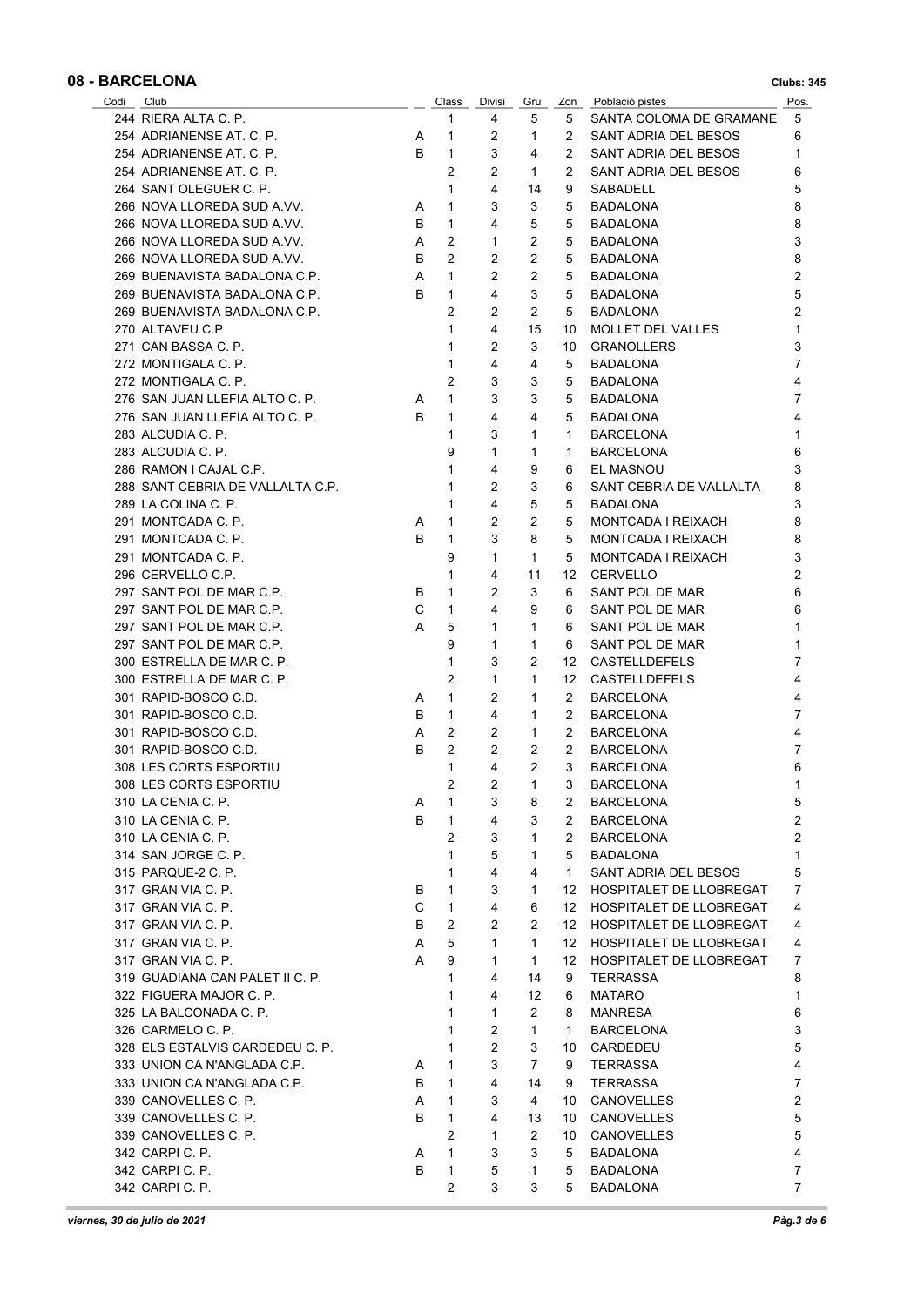| Codi Club |                                  |    | Class                        | Divisi         | Gru            |                  | Zon Població pistes                  | Pos.                |
|-----------|----------------------------------|----|------------------------------|----------------|----------------|------------------|--------------------------------------|---------------------|
|           | 244 RIERA ALTA C. P.             |    | 1                            | 4              | 5              | 5                | SANTA COLOMA DE GRAMANE              | 5                   |
|           | 254 ADRIANENSE AT. C. P.         | A  | 1                            | 2              | 1              | 2                | SANT ADRIA DEL BESOS                 | 6                   |
|           | 254 ADRIANENSE AT. C. P.         | B  | $\mathbf{1}$                 | 3              | 4              | 2                | SANT ADRIA DEL BESOS                 | 1                   |
|           | 254 ADRIANENSE AT. C. P.         |    | 2                            | 2              | 1              | 2                | SANT ADRIA DEL BESOS                 | 6                   |
|           | 264 SANT OLEGUER C. P.           |    | $\mathbf 1$                  | 4              | 14             | 9                | SABADELL                             | 5                   |
|           | 266 NOVA LLOREDA SUD A.VV.       | A  | $\mathbf{1}$                 | 3              | 3              | 5                | BADALONA                             | 8                   |
|           | 266 NOVA LLOREDA SUD A.VV.       | В  | $\mathbf{1}$                 | 4              | 5              | 5                | BADALONA                             | 8                   |
|           | 266 NOVA LLOREDA SUD A.VV.       | A  | 2                            | 1              | 2              | 5                | BADALONA                             | 3                   |
|           | 266 NOVA LLOREDA SUD A.VV.       | B  | 2                            | 2              | 2              | 5                | BADALONA                             | 8                   |
|           | 269 BUENAVISTA BADALONA C.P.     | A  | $\mathbf{1}$                 | 2              | $\overline{2}$ | 5                | <b>BADALONA</b>                      | 2                   |
|           | 269 BUENAVISTA BADALONA C.P.     | B  | $\mathbf{1}$                 | 4              | 3              | 5                | <b>BADALONA</b>                      | 5                   |
|           | 269 BUENAVISTA BADALONA C.P.     |    | $\overline{2}$               | $\overline{2}$ | 2              | 5                | BADALONA                             | $\overline{2}$      |
|           | 270 ALTAVEU C.P                  |    | 1                            | 4              | 15             | 10               | MOLLET DEL VALLES                    | 1                   |
|           | 271 CAN BASSA C. P.              |    | 1                            | 2              | 3              | 10               | <b>GRANOLLERS</b>                    | 3                   |
|           | 272 MONTIGALA C. P.              |    | 1                            | 4              | 4              | 5                | BADALONA                             | 7                   |
|           | 272 MONTIGALA C. P.              |    | 2                            | 3              | 3              | 5                | BADALONA                             | 4                   |
|           | 276 SAN JUAN LLEFIA ALTO C. P.   | A  | $\mathbf{1}$                 | 3              | 3              | 5                | BADALONA                             | 7                   |
|           | 276 SAN JUAN LLEFIA ALTO C. P.   | B. | $\mathbf{1}$                 | 4              | 4              | 5                | BADALONA                             | 4                   |
|           | 283 ALCUDIA C. P.                |    | $\mathbf{1}$                 | 3              | 1              | $\mathbf 1$      | <b>BARCELONA</b>                     | 1                   |
|           | 283 ALCUDIA C. P.                |    | 9                            | 1              | 1              | 1                | <b>BARCELONA</b>                     | 6                   |
|           |                                  |    | 1                            | 4              |                |                  |                                      |                     |
|           | 286 RAMON I CAJAL C.P.           |    | 1                            |                | 9              | 6                | EL MASNOU<br>SANT CEBRIA DE VALLALTA | 3                   |
|           | 288 SANT CEBRIA DE VALLALTA C.P. |    |                              | 2              | 3              | 6                |                                      | 8                   |
|           | 289 LA COLINA C. P.              |    | 1                            | 4              | 5              | 5                | <b>BADALONA</b>                      | 3                   |
|           | 291 MONTCADA C. P.               | A  | 1                            | 2              | 2              | 5                | MONTCADA I REIXACH                   | 8                   |
|           | 291 MONTCADA C. P.               | B  | 1                            | 3              | 8              | 5                | MONTCADA I REIXACH                   | 8                   |
|           | 291 MONTCADA C. P.               |    | 9                            | 1              | 1              | 5                | MONTCADA I REIXACH                   | 3                   |
|           | 296 CERVELLO C.P.                |    | 1                            | 4              | 11             | 12               | <b>CERVELLO</b>                      | 2                   |
|           | 297 SANT POL DE MAR C.P.         | В  | $\mathbf{1}$                 | 2              | 3              | 6                | SANT POL DE MAR                      | 6                   |
|           | 297 SANT POL DE MAR C.P.         | C  | $\mathbf{1}$                 | 4              | 9              | 6                | SANT POL DE MAR                      | 6                   |
|           | 297 SANT POL DE MAR C.P.         | A  | 5                            | 1              | 1              | 6                | SANT POL DE MAR                      | 1                   |
|           | 297 SANT POL DE MAR C.P.         |    | 9                            | 1              | 1              | 6                | SANT POL DE MAR                      | 1                   |
|           | 300 ESTRELLA DE MAR C. P.        |    | 1                            | 3              | 2              | 12               | <b>CASTELLDEFELS</b>                 | 7                   |
|           | 300 ESTRELLA DE MAR C. P.        |    | 2                            | 1              | 1              | 12               | <b>CASTELLDEFELS</b>                 | 4                   |
|           | 301 RAPID-BOSCO C.D.             | A  | $\mathbf{1}$                 | 2              | 1              | 2                | <b>BARCELONA</b>                     | 4                   |
|           | 301 RAPID-BOSCO C.D.             | В  | $\mathbf{1}$                 | 4              | 1              | 2                | BARCELONA                            | 7                   |
|           | 301 RAPID-BOSCO C.D.             | A  | 2                            | 2              | 1              | 2                | <b>BARCELONA</b>                     | 4                   |
|           | 301 RAPID-BOSCO C.D.             | в  | 2                            | 2              | $\overline{2}$ | 2                | <b>BARCELONA</b>                     | 7                   |
|           | 308 LES CORTS ESPORTIU           |    | 1                            | 4              | $\overline{2}$ | 3                | <b>BARCELONA</b>                     | 6                   |
|           | 308 LES CORTS ESPORTIU           |    | 2                            | $\overline{2}$ | $\overline{1}$ | 3 <sup>7</sup>   | <b>BARCELONA</b>                     | $\mathbf{1}$        |
|           | 310 LA CENIA C. P.               | A  | 1                            | 3              | 8              | 2                | <b>BARCELONA</b>                     | 5                   |
|           | 310 LA CENIA C. P.               | B  | 1                            | 4              | 3              | $\mathbf{2}$     | <b>BARCELONA</b>                     | $\overline{2}$      |
|           | 310 LA CENIA C. P.               |    | $\overline{2}$               | 3              | 1              | 2                | <b>BARCELONA</b>                     | $\overline{2}$      |
|           | 314 SAN JORGE C. P.              |    | $\mathbf{1}$                 | 5              | 1              | 5                | BADALONA                             | 1                   |
|           | 315 PARQUE-2 C. P.               |    | 1                            | 4              | 4              | $\mathbf{1}$     | SANT ADRIA DEL BESOS                 | 5                   |
|           | 317 GRAN VIA C. P.               | В  | $\mathbf{1}$                 | 3              | 1              |                  | 12 HOSPITALET DE LLOBREGAT           | 7                   |
|           | 317 GRAN VIA C. P.               | C  | $\mathbf{1}$                 | 4              | 6              |                  | 12 HOSPITALET DE LLOBREGAT           | 4                   |
|           | 317 GRAN VIA C. P.               | В  | 2                            | 2              | $\overline{2}$ |                  | 12 HOSPITALET DE LLOBREGAT           | 4                   |
|           | 317 GRAN VIA C. P.               | A  | 5                            | $\mathbf{1}$   | $\mathbf{1}$   | 12               | HOSPITALET DE LLOBREGAT              | 4                   |
|           | 317 GRAN VIA C. P.               | A  | 9                            | 1              | 1              | 12 <sup>12</sup> | <b>HOSPITALET DE LLOBREGAT</b>       | 7                   |
|           | 319 GUADIANA CAN PALET II C. P.  |    | 1                            | 4              | 14             | 9                | <b>TERRASSA</b>                      | 8                   |
|           | 322 FIGUERA MAJOR C. P.          |    | 1                            | 4              | 12             | 6                | <b>MATARO</b>                        | 1                   |
|           | 325 LA BALCONADA C. P.           |    | $\mathbf 1$                  | $\mathbf{1}$   | 2              | 8                | <b>MANRESA</b>                       | 6                   |
|           | 326 CARMELO C. P.                |    | 1                            | $\overline{2}$ | 1              | 1                | <b>BARCELONA</b>                     | 3                   |
|           | 328 ELS ESTALVIS CARDEDEU C. P.  |    | $\mathbf{1}$                 | 2              | 3              | 10               | CARDEDEU                             | 5                   |
|           | 333 UNION CA N'ANGLADA C.P.      | A  | $\mathbf{1}$                 | 3              | 7              | 9                | <b>TERRASSA</b>                      | 4                   |
|           |                                  |    |                              | 4              |                |                  |                                      |                     |
|           | 333 UNION CA N'ANGLADA C.P.      | B  | $\mathbf{1}$<br>$\mathbf{1}$ |                | 14             | 9                | TERRASSA                             | 7<br>$\overline{2}$ |
|           | 339 CANOVELLES C. P.             | A  |                              | 3              | 4              | 10               | CANOVELLES                           |                     |
|           | 339 CANOVELLES C. P.             | B  | $\mathbf{1}$                 | 4              | 13             | 10               | <b>CANOVELLES</b>                    | 5                   |
|           | 339 CANOVELLES C. P.             |    | $\overline{2}$               | 1              | 2              | 10               | <b>CANOVELLES</b>                    | 5                   |
|           | 342 CARPIC P.                    | A  | $\mathbf{1}$                 | 3              | 3              | 5                | <b>BADALONA</b>                      | 4                   |
|           | 342 CARPI C. P.                  | B  | $\mathbf{1}$                 | 5              | 1              | 5                | <b>BADALONA</b>                      | 7                   |
|           | 342 CARPI C. P.                  |    | $\overline{2}$               | 3              | 3              | 5                | <b>BADALONA</b>                      | 7                   |

Î.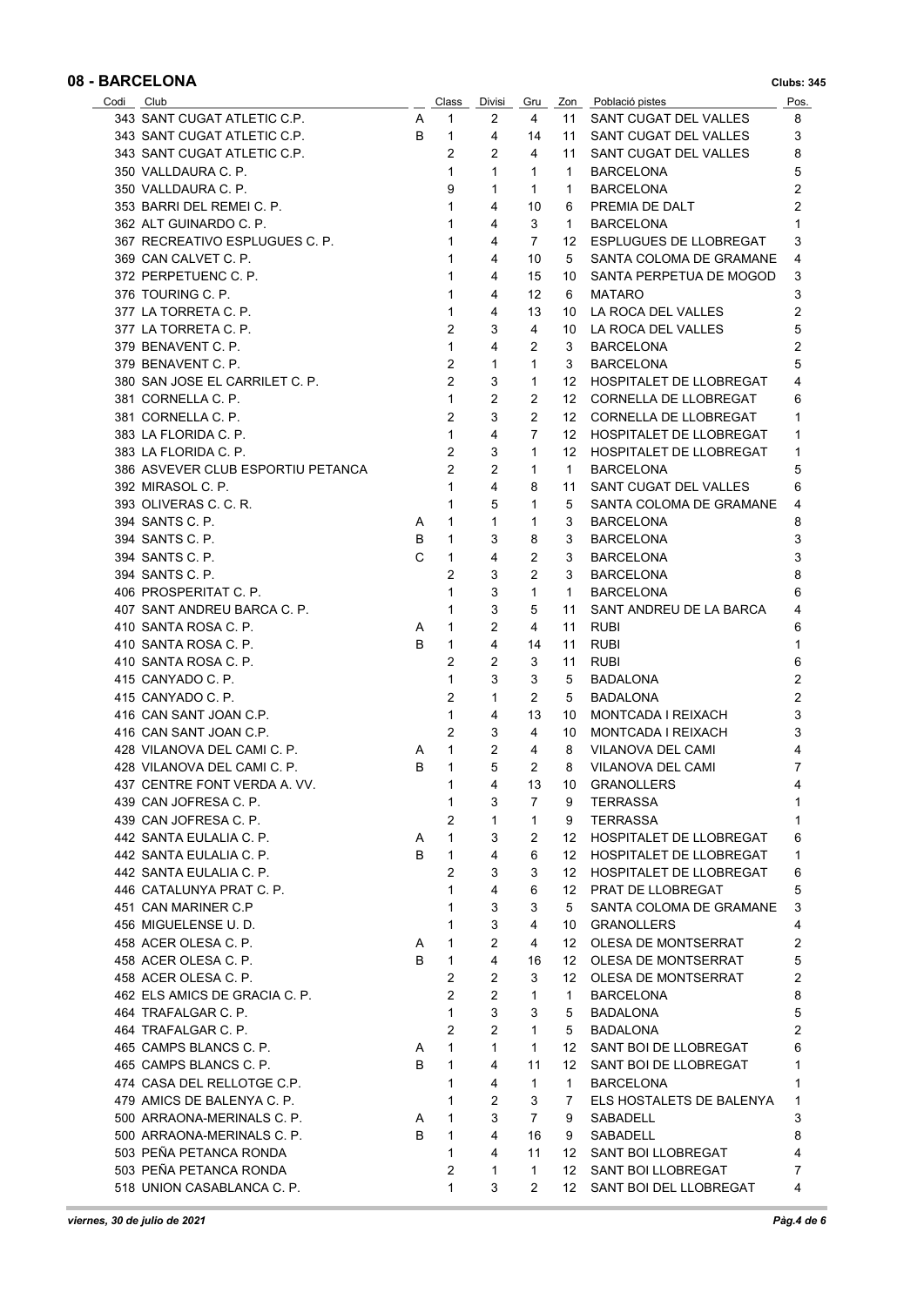| Codi Club                         |   | Class                            | Divisi         | Gru            |                  | Zon Població pistes        | Pos.           |
|-----------------------------------|---|----------------------------------|----------------|----------------|------------------|----------------------------|----------------|
| 343 SANT CUGAT ATLETIC C.P.       | A | 1                                | 2              | 4              | 11               | SANT CUGAT DEL VALLES      | 8              |
| 343 SANT CUGAT ATLETIC C.P.       | B | $\mathbf{1}$                     | 4              | 14             | 11               | SANT CUGAT DEL VALLES      | 3              |
| 343 SANT CUGAT ATLETIC C.P.       |   | $\overline{c}$                   | $\overline{2}$ | 4              | 11               | SANT CUGAT DEL VALLES      | 8              |
| 350 VALLDAURA C. P.               |   | $\mathbf{1}$                     | $\mathbf{1}$   | $\mathbf{1}$   | $\mathbf 1$      | <b>BARCELONA</b>           | 5              |
| 350 VALLDAURA C. P.               |   | 9                                | 1              | $\mathbf{1}$   | 1                | <b>BARCELONA</b>           | 2              |
| 353 BARRI DEL REMEI C. P.         |   | $\mathbf{1}$                     | 4              | 10             | 6                | PREMIA DE DALT             | $\overline{2}$ |
| 362 ALT GUINARDO C. P.            |   | $\mathbf{1}$                     | 4              | 3              | $\mathbf 1$      | <b>BARCELONA</b>           |                |
| 367 RECREATIVO ESPLUGUES C. P.    |   | $\mathbf{1}$                     | 4              | $\overline{7}$ | 12               | ESPLUGUES DE LLOBREGAT     | 3              |
| 369 CAN CALVET C. P.              |   | 1                                | 4              | 10             | 5                | SANTA COLOMA DE GRAMANE    | 4              |
| 372 PERPETUENC C. P.              |   | $\mathbf{1}$                     | 4              | 15             | 10               | SANTA PERPETUA DE MOGOD    | 3              |
| 376 TOURING C. P.                 |   | $\mathbf{1}$                     | 4              | 12             | 6                | <b>MATARO</b>              | 3              |
| 377 LA TORRETA C. P.              |   | 1                                | 4              | 13             | 10               | LA ROCA DEL VALLES         | 2              |
| 377 LA TORRETA C. P.              |   | $\overline{2}$                   | 3              | 4              | 10               | LA ROCA DEL VALLES         | 5              |
|                                   |   | $\mathbf{1}$                     | 4              | 2              |                  |                            | 2              |
| 379 BENAVENT C. P.                |   |                                  |                |                | 3                | <b>BARCELONA</b>           |                |
| 379 BENAVENT C. P.                |   | $\overline{2}$<br>$\overline{2}$ | $\mathbf{1}$   | $\mathbf{1}$   | 3                | <b>BARCELONA</b>           | 5              |
| 380 SAN JOSE EL CARRILET C. P.    |   |                                  | 3              | $\mathbf{1}$   | 12               | HOSPITALET DE LLOBREGAT    | 4              |
| 381 CORNELLA C. P.                |   | $\mathbf{1}$                     | 2              | 2              | 12               | CORNELLA DE LLOBREGAT      | 6              |
| 381 CORNELLA C. P.                |   | 2                                | 3              | 2              | 12               | CORNELLA DE LLOBREGAT      | 1              |
| 383 LA FLORIDA C. P.              |   | $\mathbf{1}$                     | 4              | $\overline{7}$ |                  | 12 HOSPITALET DE LLOBREGAT | 1              |
| 383 LA FLORIDA C. P.              |   | $\overline{2}$                   | 3              | $\mathbf{1}$   |                  | 12 HOSPITALET DE LLOBREGAT | 1              |
| 386 ASVEVER CLUB ESPORTIU PETANCA |   | $\overline{2}$                   | $\overline{c}$ | 1              | $\mathbf{1}$     | <b>BARCELONA</b>           | 5              |
| 392 MIRASOL C. P.                 |   | $\mathbf{1}$                     | 4              | 8              | 11               | SANT CUGAT DEL VALLES      | 6              |
| 393 OLIVERAS C. C. R.             |   | $\mathbf{1}$                     | 5              | 1              | 5                | SANTA COLOMA DE GRAMANE    | 4              |
| 394 SANTS C. P.                   | A | 1                                | $\mathbf{1}$   | 1              | 3                | <b>BARCELONA</b>           | 8              |
| 394 SANTS C. P.                   | B | 1                                | 3              | 8              | 3                | <b>BARCELONA</b>           | 3              |
| 394 SANTS C. P.                   | C | 1                                | 4              | 2              | 3                | <b>BARCELONA</b>           | 3              |
| 394 SANTS C. P.                   |   | 2                                | 3              | 2              | 3                | <b>BARCELONA</b>           | 8              |
| 406 PROSPERITAT C. P.             |   | 1                                | 3              | $\mathbf{1}$   | $\mathbf{1}$     | <b>BARCELONA</b>           | 6              |
| 407 SANT ANDREU BARCA C. P.       |   | 1                                | 3              | 5              | 11               | SANT ANDREU DE LA BARCA    | 4              |
| 410 SANTA ROSA C. P.              | A | 1                                | 2              | 4              | 11               | <b>RUBI</b>                | 6              |
| 410 SANTA ROSA C. P.              | B | $\mathbf{1}$                     | 4              | 14             | 11               | <b>RUBI</b>                | 1              |
| 410 SANTA ROSA C. P.              |   | $\overline{2}$                   | 2              | 3              | 11               | <b>RUBI</b>                | 6              |
| 415 CANYADO C. P.                 |   | $\mathbf{1}$                     | 3              | 3              | 5                | <b>BADALONA</b>            | $\overline{2}$ |
| 415 CANYADO C. P.                 |   | $\overline{2}$                   | 1              | 2              | 5                | <b>BADALONA</b>            | 2              |
| 416 CAN SANT JOAN C.P.            |   | $\mathbf{1}$                     | 4              | 13             | 10               | MONTCADA I REIXACH         | 3              |
| 416 CAN SANT JOAN C.P.            |   | $\overline{2}$                   | 3              | 4              | 10               | MONTCADA I REIXACH         | 3              |
| 428 VILANOVA DEL CAMI C. P.       | A | $\mathbf{1}$                     | $\overline{2}$ | 4              | 8                | VILANOVA DEL CAMI          | 4              |
| 428 VILANOVA DEL CAMI C. P.       | B | $\mathbf{1}$                     | 5              | 2              | 8                | <b>VILANOVA DEL CAMI</b>   | $\overline{7}$ |
|                                   |   |                                  |                |                |                  | 13 10 GRANOLLERS           | $\overline{4}$ |
| 437 CENTRE FONT VERDA A. VV.      |   | $\mathbf{1}$                     | $\overline{4}$ |                |                  |                            |                |
| 439 CAN JOFRESA C. P.             |   | 1                                | 3              | 7              | 9                | TERRASSA                   | 1              |
| 439 CAN JOFRESA C. P.             |   | 2                                | 1              | $\mathbf{1}$   | 9                | TERRASSA                   | 1              |
| 442 SANTA EULALIA C. P.           | A | 1                                | 3              | 2              | 12               | HOSPITALET DE LLOBREGAT    | 6              |
| 442 SANTA EULALIA C. P.           | B | 1                                | 4              | 6              | 12               | HOSPITALET DE LLOBREGAT    | 1              |
| 442 SANTA EULALIA C. P.           |   | $\overline{2}$                   | 3              | 3              |                  | 12 HOSPITALET DE LLOBREGAT | 6              |
| 446 CATALUNYA PRAT C. P.          |   | $\mathbf{1}$                     | 4              | 6              |                  | 12 PRAT DE LLOBREGAT       | 5              |
| 451 CAN MARINER C.P               |   | 1                                | 3              | 3              | 5                | SANTA COLOMA DE GRAMANE    | 3              |
| 456 MIGUELENSE U.D.               |   | $\mathbf{1}$                     | 3              | 4              |                  | 10 GRANOLLERS              | 4              |
| 458 ACER OLESA C. P.              | A | 1                                | $\overline{2}$ | 4              |                  | 12 OLESA DE MONTSERRAT     | 2              |
| 458 ACER OLESA C. P.              | B | $\mathbf{1}$                     | 4              | 16             | 12 <sup>12</sup> | OLESA DE MONTSERRAT        | 5              |
| 458 ACER OLESA C. P.              |   | $\overline{2}$                   | 2              | 3              | 12 <sup>12</sup> | OLESA DE MONTSERRAT        | 2              |
| 462 ELS AMICS DE GRACIA C. P.     |   | $\overline{2}$                   | $\overline{2}$ | 1              | 1                | <b>BARCELONA</b>           | 8              |
| 464 TRAFALGAR C. P.               |   | 1                                | 3              | 3              | 5                | <b>BADALONA</b>            | 5              |
| 464 TRAFALGAR C. P.               |   | $\overline{2}$                   | $\overline{2}$ | $\mathbf{1}$   | 5                | <b>BADALONA</b>            | $\overline{2}$ |
| 465 CAMPS BLANCS C. P.            | A | 1                                | $\mathbf{1}$   | $\mathbf{1}$   | 12 <sup>12</sup> | SANT BOI DE LLOBREGAT      | 6              |
| 465 CAMPS BLANCS C. P.            | B | 1                                | 4              | 11             | 12 <sup>12</sup> | SANT BOI DE LLOBREGAT      | 1              |
| 474 CASA DEL RELLOTGE C.P.        |   | 1                                | 4              | 1              | $\mathbf{1}$     | <b>BARCELONA</b>           | 1              |
| 479 AMICS DE BALENYA C. P.        |   | $\mathbf{1}$                     | 2              | 3              | 7                | ELS HOSTALETS DE BALENYA   | 1              |
| 500 ARRAONA-MERINALS C. P.        | A | 1                                | 3              | 7              | 9                | SABADELL                   | 3              |
| 500 ARRAONA-MERINALS C. P.        | B | $\mathbf{1}$                     | 4              | 16             | 9                | SABADELL                   | 8              |
| 503 PEÑA PETANCA RONDA            |   | $\mathbf{1}$                     | 4              | 11             | 12 <sup>12</sup> | SANT BOI LLOBREGAT         | 4              |
| 503 PEÑA PETANCA RONDA            |   | 2                                | 1              | 1              | 12               | SANT BOI LLOBREGAT         | 7              |
|                                   |   |                                  |                |                |                  |                            | 4              |
| 518 UNION CASABLANCA C. P.        |   | $\mathbf 1$                      | 3              | $\overline{2}$ | 12               | SANT BOI DEL LLOBREGAT     |                |

×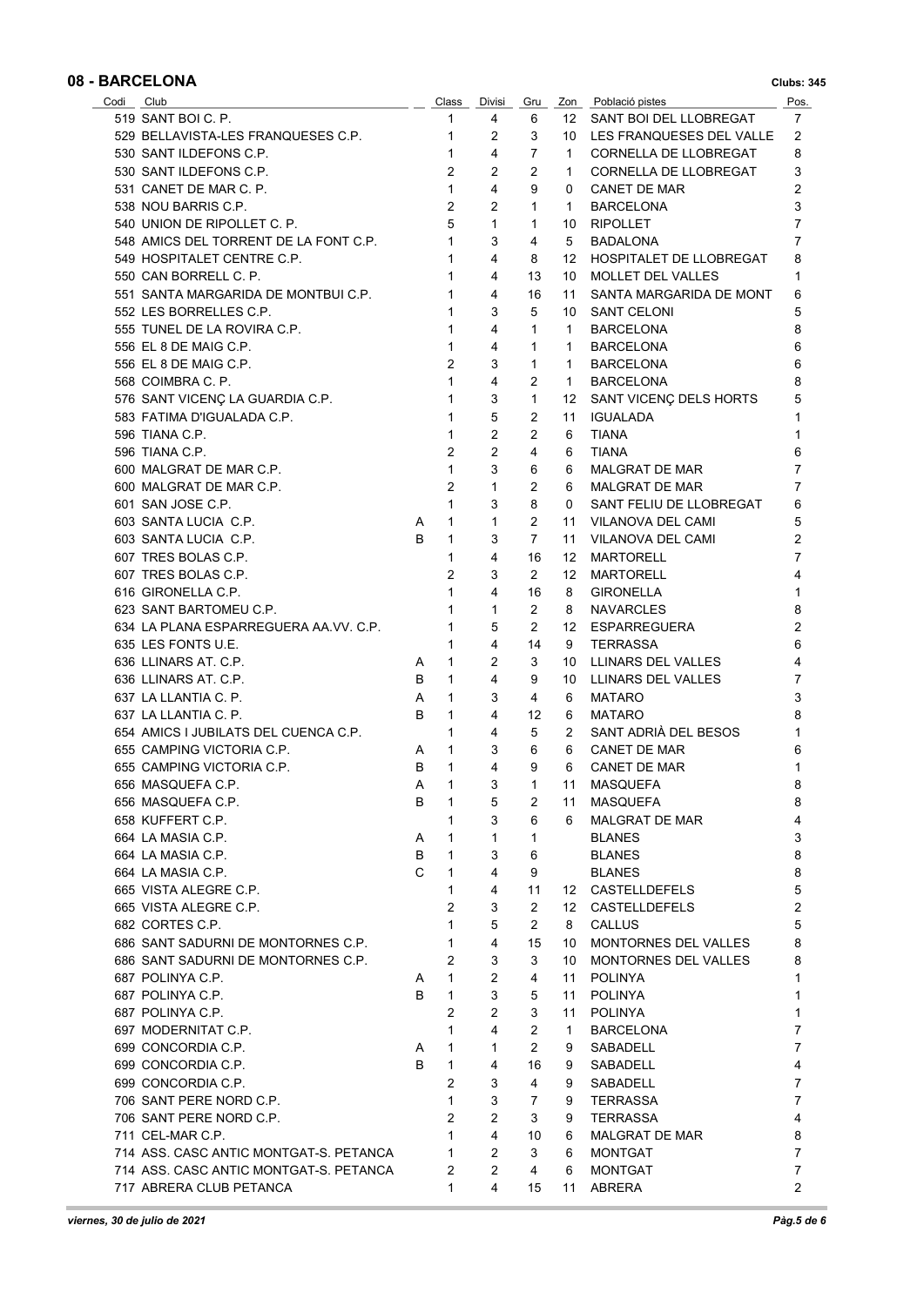| Codi Club                              |              | Class          | Divisi         | Gru            |              | Zon Població pistes      | Pos. |
|----------------------------------------|--------------|----------------|----------------|----------------|--------------|--------------------------|------|
| 519 SANT BOI C. P.                     |              | 1              | 4              | 6              | 12           | SANT BOI DEL LLOBREGAT   | 7    |
| 529 BELLAVISTA-LES FRANQUESES C.P.     |              | $\mathbf{1}$   | 2              | 3              | 10           | LES FRANQUESES DEL VALLE | 2    |
| 530 SANT ILDEFONS C.P.                 |              | $\mathbf{1}$   | 4              | 7              | 1            | CORNELLA DE LLOBREGAT    | 8    |
| 530 SANT ILDEFONS C.P.                 |              | 2              | $\overline{2}$ | $\overline{2}$ | 1.           | CORNELLA DE LLOBREGAT    | 3    |
| 531 CANET DE MAR C. P.                 |              | $\mathbf{1}$   | 4              | 9              | 0            | CANET DE MAR             | 2    |
| 538 NOU BARRIS C.P.                    |              | 2              | $\overline{2}$ | $\mathbf{1}$   | 1.           | <b>BARCELONA</b>         | 3    |
| 540 UNION DE RIPOLLET C. P.            |              | 5              | $\mathbf{1}$   | 1              | 10           | <b>RIPOLLET</b>          | 7    |
|                                        |              | 1              | 3              | 4              |              |                          | 7    |
| 548 AMICS DEL TORRENT DE LA FONT C.P.  |              |                |                |                | 5            | <b>BADALONA</b>          |      |
| 549 HOSPITALET CENTRE C.P.             |              | 1              | 4              | 8              | 12           | HOSPITALET DE LLOBREGAT  | 8    |
| 550 CAN BORRELL C. P.                  |              | $\mathbf{1}$   | 4              | 13             | 10           | <b>MOLLET DEL VALLES</b> | 1    |
| 551 SANTA MARGARIDA DE MONTBUI C.P.    |              | 1              | 4              | 16             | 11           | SANTA MARGARIDA DE MONT  | 6    |
| 552 LES BORRELLES C.P.                 |              | 1              | 3              | 5              | 10           | <b>SANT CELONI</b>       | 5    |
| 555 TUNEL DE LA ROVIRA C.P.            |              | 1              | 4              | $\mathbf{1}$   | 1            | <b>BARCELONA</b>         | 8    |
| 556 EL 8 DE MAIG C.P.                  |              | $\mathbf{1}$   | 4              | 1              | 1            | <b>BARCELONA</b>         | 6    |
| 556 EL 8 DE MAIG C.P.                  |              | 2              | 3              | 1              | 1            | <b>BARCELONA</b>         | 6    |
| 568 COIMBRA C. P.                      |              | $\mathbf{1}$   | 4              | 2              | 1            | <b>BARCELONA</b>         | 8    |
| 576 SANT VICENC LA GUARDIA C.P.        |              | 1              | 3              | 1              | 12           | SANT VICENÇ DELS HORTS   | 5    |
| 583 FATIMA D'IGUALADA C.P.             |              | 1              | 5              | 2              | 11           | IGUALADA                 | 1    |
| 596 TIANA C.P.                         |              | 1              | $\overline{2}$ | $\overline{2}$ | 6            | <b>TIANA</b>             | 1    |
| 596 TIANA C.P.                         |              | $\overline{2}$ | $\overline{2}$ | $\overline{4}$ | 6            | <b>TIANA</b>             | 6    |
| 600 MALGRAT DE MAR C.P.                |              | 1              | 3              | 6              | 6            | MALGRAT DE MAR           | 7    |
|                                        |              |                |                |                |              |                          |      |
| 600 MALGRAT DE MAR C.P.                |              | $\overline{2}$ | $\mathbf{1}$   | $\overline{2}$ | 6            | MALGRAT DE MAR           | 7    |
| 601 SAN JOSE C.P.                      |              | $\mathbf{1}$   | 3              | 8              | 0            | SANT FELIU DE LLOBREGAT  | 6    |
| 603 SANTA LUCIA C.P.                   | A            | $\mathbf{1}$   | 1              | 2              | 11           | VILANOVA DEL CAMI        | 5    |
| 603 SANTA LUCIA C.P.                   | B            | 1              | 3              | $\overline{7}$ | 11           | VILANOVA DEL CAMI        | 2    |
| 607 TRES BOLAS C.P.                    |              | 1              | 4              | 16             | 12           | <b>MARTORELL</b>         | 7    |
| 607 TRES BOLAS C.P.                    |              | $\overline{2}$ | 3              | 2              | 12           | <b>MARTORELL</b>         | 4    |
| 616 GIRONELLA C.P.                     |              | 1              | 4              | 16             | 8            | <b>GIRONELLA</b>         | 1    |
| 623 SANT BARTOMEU C.P.                 |              | 1              | $\mathbf{1}$   | 2              | 8            | <b>NAVARCLES</b>         | 8    |
| 634 LA PLANA ESPARREGUERA AA VV. C.P.  |              | 1              | 5              | $\overline{2}$ |              | 12 ESPARREGUERA          | 2    |
| 635 LES FONTS U.E.                     |              | 1              | 4              | 14             | 9            | <b>TERRASSA</b>          | 6    |
| 636 LLINARS AT C.P.                    | A            | 1              | 2              | 3              | 10           | LLINARS DEL VALLES       | 4    |
| 636 LLINARS AT C.P.                    | B            | $\mathbf{1}$   | 4              | 9              | 10           | LLINARS DEL VALLES       | 7    |
| 637 LA LLANTIA C. P.                   | A            | 1              | 3              | 4              | 6            | <b>MATARO</b>            | 3    |
|                                        |              |                |                |                |              |                          |      |
| 637 LA LLANTIA C. P.                   | B            | $\mathbf{1}$   | 4              | 12             | 6            | <b>MATARO</b>            | 8    |
| 654 AMICS I JUBILATS DEL CUENCA C.P.   |              | 1              | 4              | 5              | 2            | SANT ADRIA DEL BESOS     | 1    |
| 655 CAMPING VICTORIA C.P.              | A            | $\mathbf{1}$   | 3              | 6              | 6            | CANET DE MAR             | 6    |
| 655 CAMPING VICTORIA C.P.              | В            | $\mathbf{1}$   | $\overline{4}$ | 9              | 6            | CANET DE MAR             | 1    |
| 656 MASQUEFA C.P.                      | $\mathsf{A}$ | $\overline{1}$ | $\mathbf{3}$   | $\overline{1}$ |              | 11 MASQUEFA              | 8    |
| 656 MASQUEFA C.P.                      | В            | 1              | 5              | 2              | 11           | MASQUEFA                 | 8    |
| 658 KUFFERT C.P.                       |              | 1              | 3              | 6              | 6.           | MALGRAT DE MAR           | 4    |
| 664 LA MASIA C.P.                      | A            | $\mathbf{1}$   | 1              | 1              |              | <b>BLANES</b>            | 3    |
| 664 LA MASIA C.P.                      | В            | 1              | 3              | 6              |              | <b>BLANES</b>            | 8    |
| 664 LA MASIA C.P.                      | C            | 1              | 4              | 9              |              | <b>BLANES</b>            | 8    |
| 665 VISTA ALEGRE C.P.                  |              | 1              | 4              | 11             |              | 12 CASTELLDEFELS         | 5    |
| 665 VISTA ALEGRE C.P.                  |              | 2              | 3              | 2              |              | 12 CASTELLDEFELS         | 2    |
| 682 CORTES C.P.                        |              | $\mathbf{1}$   | 5              | $\overline{2}$ | 8            | <b>CALLUS</b>            | 5    |
| 686 SANT SADURNI DE MONTORNES C.P.     |              | 1              | 4              | 15             |              | MONTORNES DEL VALLES     | 8    |
|                                        |              |                |                |                | 10           |                          |      |
| 686 SANT SADURNI DE MONTORNES C.P.     |              | 2              | 3              | 3              | 10           | MONTORNES DEL VALLES     | 8    |
| 687 POLINYA C.P.                       | A            | $\mathbf{1}$   | 2              | 4              | 11           | <b>POLINYA</b>           | 1    |
| 687 POLINYA C.P.                       | В            | 1              | 3              | 5              | 11           | <b>POLINYA</b>           | 1    |
| 687 POLINYA C.P.                       |              | 2              | 2              | 3              | 11           | <b>POLINYA</b>           | 1    |
| 697 MODERNITAT C.P.                    |              | 1              | 4              | 2              | $\mathbf{1}$ | <b>BARCELONA</b>         | 7    |
| 699 CONCORDIA C.P.                     | A            | 1              | 1              | $\overline{2}$ | 9            | SABADELL                 | 7    |
| 699 CONCORDIA C.P.                     | B            | $\mathbf{1}$   | 4              | 16             | 9            | SABADELL                 | 4    |
| 699 CONCORDIA C.P.                     |              | $\overline{2}$ | 3              | 4              | 9            | SABADELL                 | 7    |
| 706 SANT PERE NORD C.P.                |              | 1              | 3              | $\overline{7}$ | 9            | TERRASSA                 | 7    |
| 706 SANT PERE NORD C.P.                |              | 2              | 2              | 3              | 9            | <b>TERRASSA</b>          | 4    |
| 711 CEL-MAR C.P.                       |              | $\mathbf{1}$   | 4              | 10             | 6            | MALGRAT DE MAR           | 8    |
| 714 ASS. CASC ANTIC MONTGAT-S. PETANCA |              | $\mathbf{1}$   | 2              | 3              | 6            | MONTGAT                  | 7    |
| 714 ASS. CASC ANTIC MONTGAT-S. PETANCA |              | 2              | 2              | 4              | 6            | <b>MONTGAT</b>           | 7    |
|                                        |              |                |                |                |              |                          |      |
| 717 ABRERA CLUB PETANCA                |              | $\mathbf{1}$   | 4              | 15             | 11           | ABRERA                   | 2    |

Î.